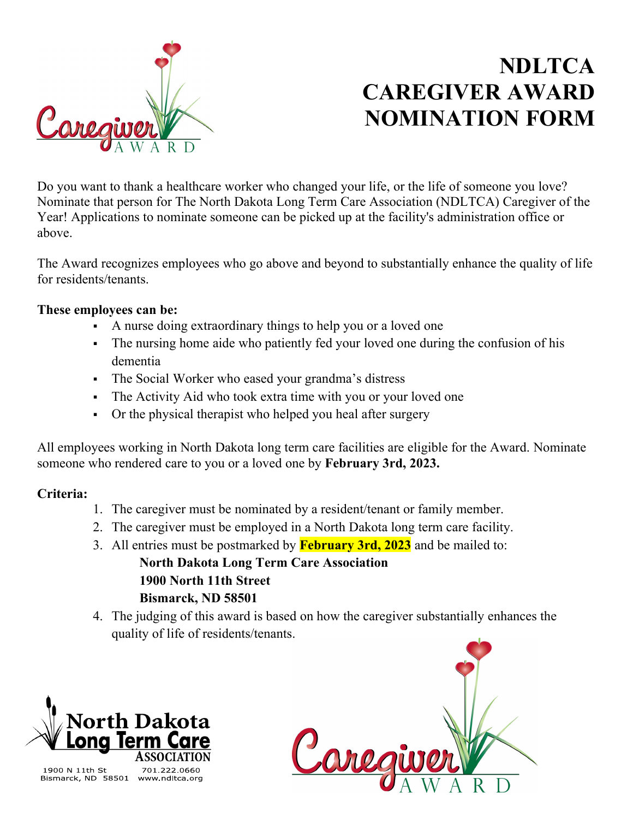

## **NDLTCA CAREGIVER AWARD NOMINATION FORM**

Do you want to thank a healthcare worker who changed your life, or the life of someone you love? Nominate that person for The North Dakota Long Term Care Association (NDLTCA) Caregiver of the Year! Applications to nominate someone can be picked up at the facility's administration office or above.

The Award recognizes employees who go above and beyond to substantially enhance the quality of life for residents/tenants.

## **These employees can be:**

- A nurse doing extraordinary things to help you or a loved one
- The nursing home aide who patiently fed your loved one during the confusion of his dementia
- The Social Worker who eased your grandma's distress
- The Activity Aid who took extra time with you or your loved one
- Or the physical therapist who helped you heal after surgery

All employees working in North Dakota long term care facilities are eligible for the Award. Nominate someone who rendered care to you or a loved one by **February 3rd, 2023.**

## **Criteria:**

- 1. The caregiver must be nominated by a resident/tenant or family member.
- 2. The caregiver must be employed in a North Dakota long term care facility.
- 3. All entries must be postmarked by **February 3rd, 2023** and be mailed to: **North Dakota Long Term Care Association 1900 North 11th Street Bismarck, ND 58501**
- 4. The judging of this award is based on how the caregiver substantially enhances the quality of life of residents/tenants.



1900 N 11th St Bismarck, ND 58501 www.ndltca.org